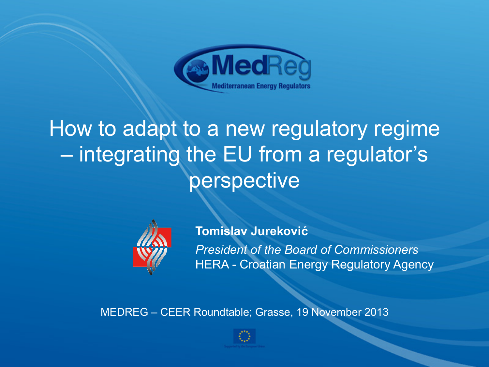

## How to adapt to a new regulatory regime – integrating the EU from a regulator's perspective



**Tomislav Jureković** *President of the Board of Commissioners*  HERA - Croatian Energy Regulatory Agency

MEDREG – CEER Roundtable; Grasse, 19 November 2013

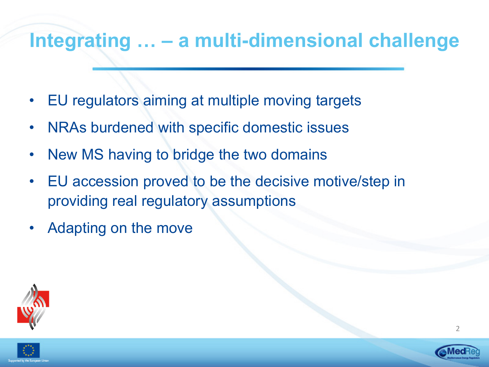#### **Integrating … – a multi-dimensional challenge**

- EU regulators aiming at multiple moving targets
- NRAs burdened with specific domestic issues
- New MS having to bridge the two domains
- EU accession proved to be the decisive motive/step in providing real regulatory assumptions
- Adapting on the move



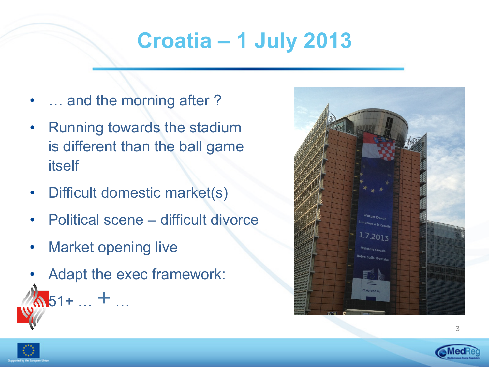# **Croatia – 1 July 2013**

- ... and the morning after?
- Running towards the stadium is different than the ball game itself
- Difficult domestic market(s)
- Political scene difficult divorce
- Market opening live

 $\mathcal{L}_{\mathbf{51^+}}$   $+$  …

Adapt the exec framework:





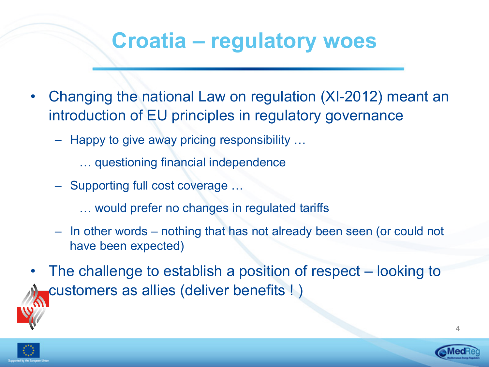## **Croatia – regulatory woes**

- Changing the national Law on regulation (XI-2012) meant an introduction of EU principles in regulatory governance
	- Happy to give away pricing responsibility …
		- … questioning financial independence
	- Supporting full cost coverage …
		- … would prefer no changes in regulated tariffs
	- In other words nothing that has not already been seen (or could not have been expected)
- The challenge to establish a position of respect looking to customers as allies (deliver benefits ! )



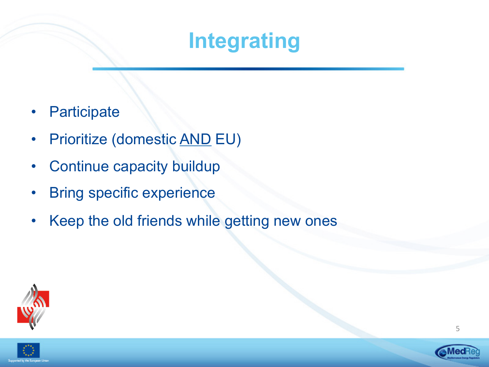## **Integrating**

- **Participate**
- Prioritize (domestic AND EU)
- Continue capacity buildup
- **Bring specific experience**
- Keep the old friends while getting new ones